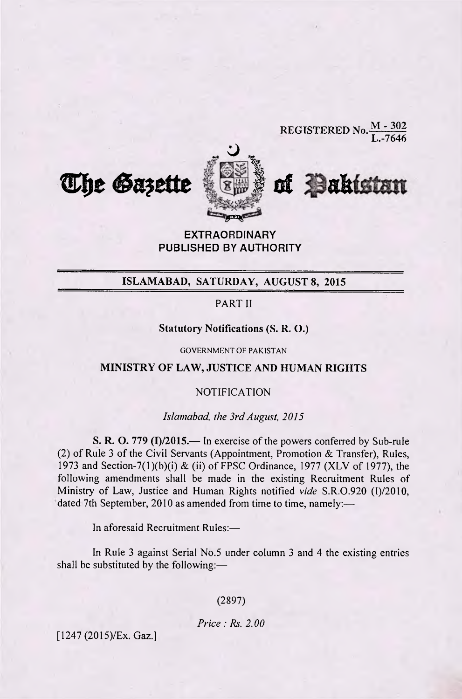**REGISTERED No.**  $\frac{M-302}{L-7646}$ 







# **EXTRAORDINARY PUBLISHED BY AUTHORITY**

# **ISLAMABAD, SATURDAY, AUGUST 8, 2015**

## PART II

## **Statutory Notifications (S. R. 0.)**

GOVERNMENT OF PAKISTAN

## **MINISTRY OF LAW, JUSTICE AND HUMAN RIGHTS**

# NOTIFICATION

#### *Islamabad, the 3rd August, 2015*

**S. R. O. 779 (I)/2015.—** In exercise of the powers conferred by Sub-rule (2) of Rule 3 of the Civil Servants (Appointment, Promotion & Transfer), Rules, 1973 and Section-7(1)(b)(i) & (ii) of FPSC Ordinance, 1977 (XLV of 1977), the following amendments shall be made in the existing Recruitment Rules of Ministry of Law, Justice and Human Rights notified *vide* S.R.0.920 (1)/2010, dated 7th September, 2010 as amended from time to time, namely:—

In aforesaid Recruitment Rules:—

In Rule 3 against Serial No.5 under column 3 and 4 the existing entries shall be substituted by the following:—

(2897)

*Price: Rs. 2.00* 

[1247 (2015)/Ex. Gaz.]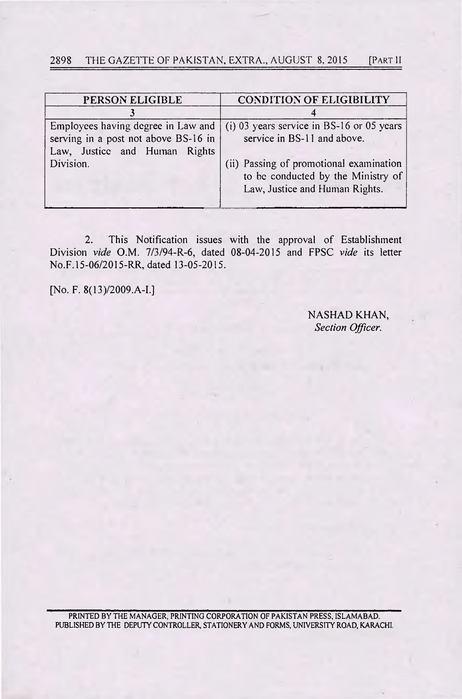# 2898 THE GAZETTE OF PAKISTAN, EXTRA., AUGUST 8, 2015 [PART II

| PERSON ELIGIBLE                                                                                                          | <b>CONDITION OF ELIGIBILITY</b>                                                                                                                                                             |  |
|--------------------------------------------------------------------------------------------------------------------------|---------------------------------------------------------------------------------------------------------------------------------------------------------------------------------------------|--|
|                                                                                                                          |                                                                                                                                                                                             |  |
| Employees having degree in Law and<br>serving in a post not above BS-16 in<br>Law, Justice and Human Rights<br>Division. | (i) 03 years service in BS-16 or 05 years<br>service in BS-11 and above.<br>(ii) Passing of promotional examination<br>to be conducted by the Ministry of<br>Law, Justice and Human Rights. |  |

2. This Notification issues with the approval of Establishment Division *vide* O.M. 7/3/94-R-6, dated 08-04-2015 and FPSC *vide* its letter No.F.15-06/2015-RR, dated 13-05-2015.

[No. F. 8(13)/2009.A-I.]

NASHAD KHAN, *Section Officer.* 

PRINTED BY THE MANAGER, PRINTING CORPORATION OF PAKISTAN PRESS, ISLAMABAD. PUBLISHED BY THE DEPUTY CONTROLLER, STATIONERY AND FORMS, UNIVERSITY ROAD, KARACHI.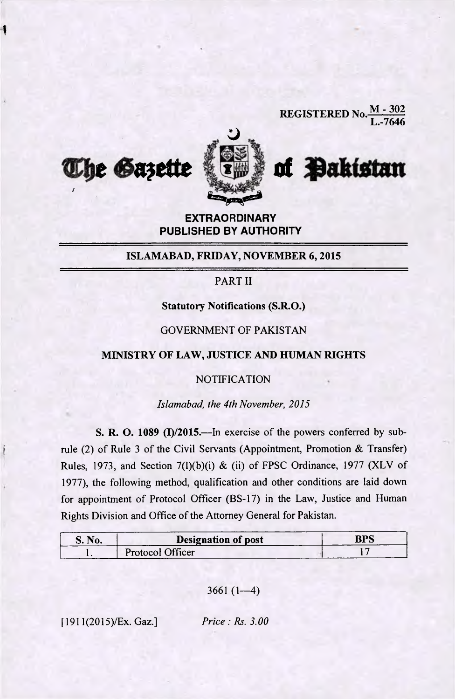





# **EXTRAORDINARY PUBLISHED BY AUTHORITY**

#### **ISLAMABAD, FRIDAY, NOVEMBER 6, 2015**

# PART II

**Statutory Notifications (S.R.0.)** 

## GOVERNMENT OF PAKISTAN

## **MINISTRY OF LAW, JUSTICE AND HUMAN RIGHTS**

## **NOTIFICATION**

*Islamabad, the 4th November, 2015* 

**S. R. 0. 1089 (I)/2015.—In** exercise of the powers conferred by subrule (2) of Rule 3 of the Civil Servants (Appointment, Promotion & Transfer) Rules, 1973, and Section 7(I)(b)(i) & (ii) of FPSC Ordinance, 1977 (XLV of 1977), the following method, qualification and other conditions are laid down for appointment of Protocol Officer (BS-17) in the Law, Justice and Human Rights Division and Office of the Attorney General for Pakistan.

| <b>S. No.</b> | <b>Designation of post</b> | DDC |
|---------------|----------------------------|-----|
|               | Protocol Officer           |     |

 $3661(1-4)$ 

[1911(2015)/Ex. Gazi *Price: Rs. 3.00*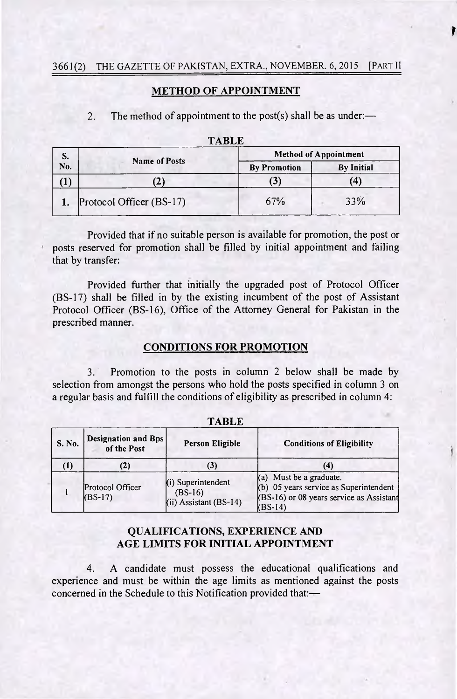#### **METHOD OF APPOINTMENT**

#### 2. The method of appointment to the post(s) shall be as under:—

| S.<br>No. | <b>Name of Posts</b>     | <b>Method of Appointment</b> |                   |  |
|-----------|--------------------------|------------------------------|-------------------|--|
|           |                          | <b>By Promotion</b>          | <b>By Initial</b> |  |
|           | $\mathbf{Z}$             | (3)                          | 4                 |  |
|           | Protocol Officer (BS-17) | 67%                          | 33%               |  |

#### TABLE

Provided that if no suitable person is available for promotion, the post or posts reserved for promotion shall be filled by initial appointment and failing that by transfer:

Provided further that initially the upgraded post of Protocol Officer (BS-17) shall be filled in by the existing incumbent of the post of Assistant Protocol Officer (BS-16), Office of the Attorney General for Pakistan in the prescribed manner.

#### **CONDITIONS FOR PROMOTION**

3. Promotion to the posts in column 2 below shall be made by selection from amongst the persons who hold the posts specified in column 3 on a regular basis and fulfill the conditions of eligibility as prescribed in column 4:

| S. No.   | Designation and Bps<br>of the Post | <b>Person Eligible</b>                                    | <b>Conditions of Eligibility</b>                                                                                           |
|----------|------------------------------------|-----------------------------------------------------------|----------------------------------------------------------------------------------------------------------------------------|
| $\bf(1)$ | (2)                                | (3)                                                       |                                                                                                                            |
|          | Protocol Officer<br>$(BS-17)$      | (i) Superintendent<br>$(BS-16)$<br>(ii) Assistant (BS-14) | (a) Must be a graduate.<br>(b) 05 years service as Superintendent<br>(BS-16) or 08 years service as Assistant<br>$(BS-14)$ |

**TABLE** 

## **QUALIFICATIONS, EXPERIENCE AND AGE LIMITS FOR INITIAL APPOINTMENT**

4. A candidate must possess the educational qualifications and experience and must be within the age limits as mentioned against the posts concerned in the Schedule to this Notification provided that:—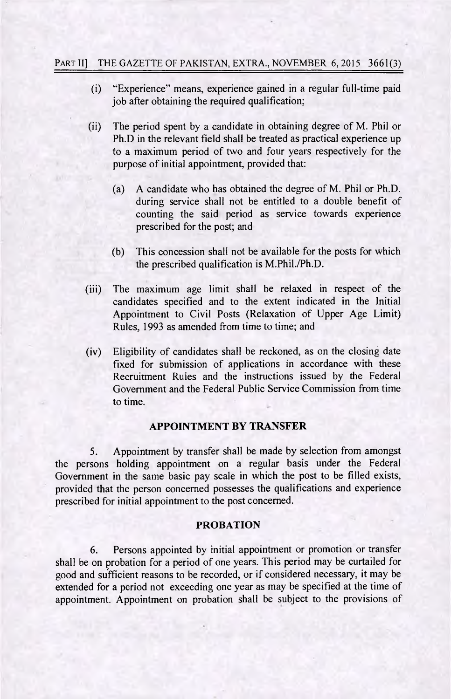## PART II] THE GAZETTE OF PAKISTAN, EXTRA., NOVEMBER 6, 2015 3661(3)

- (i) "Experience" means, experience gained in a regular full-time paid job after obtaining the required qualification;
- (ii) The period spent by a candidate in obtaining degree of M. Phil or Ph.D in the relevant field shall be treated as practical experience up to a maximum period of two and four years respectively for the purpose of initial appointment, provided that:
	- (a) A candidate who has obtained the degree of M. Phil or Ph.D. during service shall not be entitled to a double benefit of counting the said period as service towards experience prescribed for the post; and
	- (b) This concession shall not be available for the posts for which the prescribed qualification is M.Phil./Ph.D.
- The maximum age limit shall be relaxed in respect of the  $(iii)$ candidates specified and to the extent indicated in the Initial Appointment to Civil Posts (Relaxation of Upper Age Limit) Rules, 1993 as amended from time to time; and
- (iv) Eligibility of candidates shall be reckoned, as on the closing date fixed for submission of applications in accordance with these Recruitment Rules and the instructions issued by the Federal Government and the Federal Public Service Commission from time to time.

#### **APPOINTMENT BY TRANSFER**

5. Appointment by transfer shall be made by selection from amongst the persons holding appointment on a regular basis under the Federal Government in the same basic pay scale in which the post to be filled exists, provided that the person concerned possesses the qualifications and experience prescribed for initial appointment to the post concerned.

#### **PROBATION**

6. Persons appointed by initial appointment or promotion or transfer shall be on probation for a period of one years. This period may be curtailed for good and sufficient reasons to be recorded, or if considered necessary, it may be extended for a period not exceeding one year as may be specified at the time of appointment. Appointment on probation shall be subject to the provisions of